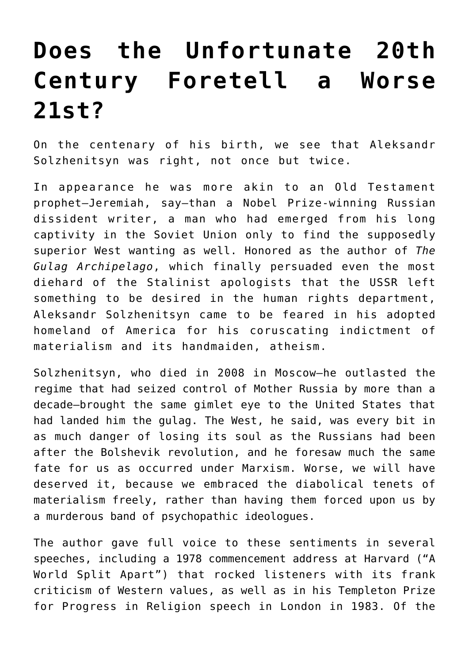## **[Does the Unfortunate 20th](https://intellectualtakeout.org/2018/12/does-the-unfortunate-20th-century-foretell-a-worse-21st/) [Century Foretell a Worse](https://intellectualtakeout.org/2018/12/does-the-unfortunate-20th-century-foretell-a-worse-21st/) [21st?](https://intellectualtakeout.org/2018/12/does-the-unfortunate-20th-century-foretell-a-worse-21st/)**

On the centenary of his birth, we see that Aleksandr Solzhenitsyn was right, not once but twice.

In appearance he was more akin to an Old Testament prophet—Jeremiah, say—than a Nobel Prize-winning Russian dissident writer, a man who had emerged from his long captivity in the Soviet Union only to find the supposedly superior West wanting as well. Honored as the author of *The Gulag Archipelago*, which finally persuaded even the most diehard of the Stalinist apologists that the USSR left something to be desired in the human rights department, Aleksandr Solzhenitsyn came to be feared in his adopted homeland of America for his coruscating indictment of materialism and its handmaiden, atheism.

Solzhenitsyn, who died in 2008 in Moscow—he outlasted the regime that had seized control of Mother Russia by more than a decade—brought the same gimlet eye to the United States that had landed him the gulag. The West, he said, was every bit in as much danger of losing its soul as the Russians had been after the Bolshevik revolution, and he foresaw much the same fate for us as occurred under Marxism. Worse, we will have deserved it, because we embraced the diabolical tenets of materialism freely, rather than having them forced upon us by a murderous band of psychopathic ideologues.

The author gave full voice to these sentiments in several speeches, including a 1978 commencement address at Harvard ("A World Split Apart") that rocked listeners with its frank criticism of Western values, as well as in his Templeton Prize for Progress in Religion speech in London in 1983. Of the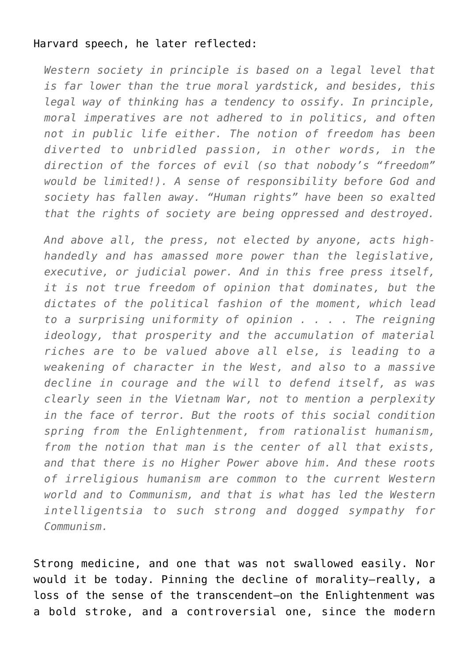## Harvard speech, he later reflected:

*Western society in principle is based on a legal level that is far lower than the true moral yardstick, and besides, this legal way of thinking has a tendency to ossify. In principle, moral imperatives are not adhered to in politics, and often not in public life either. The notion of freedom has been diverted to unbridled passion, in other words, in the direction of the forces of evil (so that nobody's "freedom" would be limited!). A sense of responsibility before God and society has fallen away. "Human rights" have been so exalted that the rights of society are being oppressed and destroyed.*

*And above all, the press, not elected by anyone, acts highhandedly and has amassed more power than the legislative, executive, or judicial power. And in this free press itself, it is not true freedom of opinion that dominates, but the dictates of the political fashion of the moment, which lead to a surprising uniformity of opinion . . . . The reigning ideology, that prosperity and the accumulation of material riches are to be valued above all else, is leading to a weakening of character in the West, and also to a massive decline in courage and the will to defend itself, as was clearly seen in the Vietnam War, not to mention a perplexity in the face of terror. But the roots of this social condition spring from the Enlightenment, from rationalist humanism, from the notion that man is the center of all that exists, and that there is no Higher Power above him. And these roots of irreligious humanism are common to the current Western world and to Communism, and that is what has led the Western intelligentsia to such strong and dogged sympathy for Communism.*

Strong medicine, and one that was not swallowed easily. Nor would it be today. Pinning the decline of morality—really, a loss of the sense of the transcendent—on the Enlightenment was a bold stroke, and a controversial one, since the modern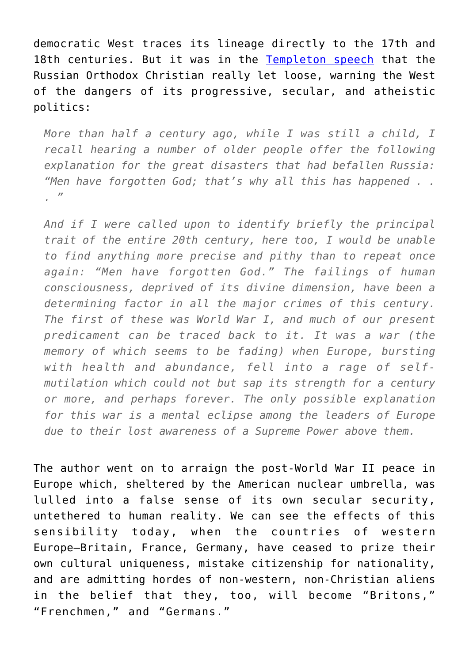democratic West traces its lineage directly to the 17th and 18th centuries. But it was in the [Templeton speech](https://www.nationalreview.com/2018/12/aleksandr-solzhenitsyn-men-have-forgotten-god-speech/) that the Russian Orthodox Christian really let loose, warning the West of the dangers of its progressive, secular, and atheistic politics:

*More than half a century ago, while I was still a child, I recall hearing a number of older people offer the following explanation for the great disasters that had befallen Russia: "Men have forgotten God; that's why all this has happened . . . "*

*And if I were called upon to identify briefly the principal trait of the entire 20th century, here too, I would be unable to find anything more precise and pithy than to repeat once again: "Men have forgotten God." The failings of human consciousness, deprived of its divine dimension, have been a determining factor in all the major crimes of this century. The first of these was World War I, and much of our present predicament can be traced back to it. It was a war (the memory of which seems to be fading) when Europe, bursting with health and abundance, fell into a rage of selfmutilation which could not but sap its strength for a century or more, and perhaps forever. The only possible explanation for this war is a mental eclipse among the leaders of Europe due to their lost awareness of a Supreme Power above them.*

The author went on to arraign the post-World War II peace in Europe which, sheltered by the American nuclear umbrella, was lulled into a false sense of its own secular security, untethered to human reality. We can see the effects of this sensibility today, when the countries of western Europe—Britain, France, Germany, have ceased to prize their own cultural uniqueness, mistake citizenship for nationality, and are admitting hordes of non-western, non-Christian aliens in the belief that they, too, will become "Britons," "Frenchmen," and "Germans."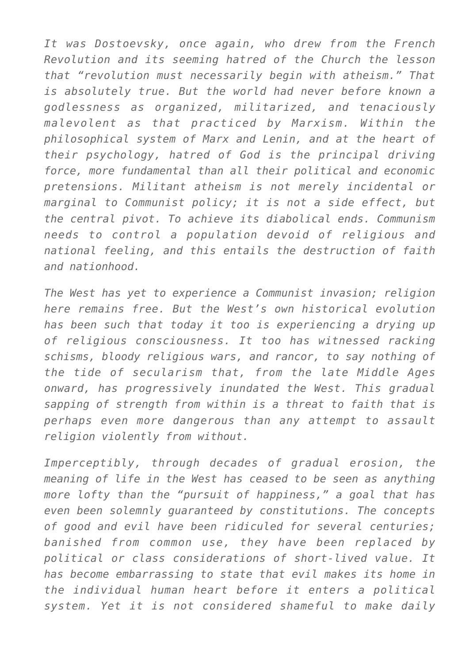*It was Dostoevsky, once again, who drew from the French Revolution and its seeming hatred of the Church the lesson that "revolution must necessarily begin with atheism." That is absolutely true. But the world had never before known a godlessness as organized, militarized, and tenaciously malevolent as that practiced by Marxism. Within the philosophical system of Marx and Lenin, and at the heart of their psychology, hatred of God is the principal driving force, more fundamental than all their political and economic pretensions. Militant atheism is not merely incidental or marginal to Communist policy; it is not a side effect, but the central pivot. To achieve its diabolical ends. Communism needs to control a population devoid of religious and national feeling, and this entails the destruction of faith and nationhood.*

*The West has yet to experience a Communist invasion; religion here remains free. But the West's own historical evolution has been such that today it too is experiencing a drying up of religious consciousness. It too has witnessed racking schisms, bloody religious wars, and rancor, to say nothing of the tide of secularism that, from the late Middle Ages onward, has progressively inundated the West. This gradual sapping of strength from within is a threat to faith that is perhaps even more dangerous than any attempt to assault religion violently from without.*

*Imperceptibly, through decades of gradual erosion, the meaning of life in the West has ceased to be seen as anything more lofty than the "pursuit of happiness," a goal that has even been solemnly guaranteed by constitutions. The concepts of good and evil have been ridiculed for several centuries; banished from common use, they have been replaced by political or class considerations of short-lived value. It has become embarrassing to state that evil makes its home in the individual human heart before it enters a political system. Yet it is not considered shameful to make daily*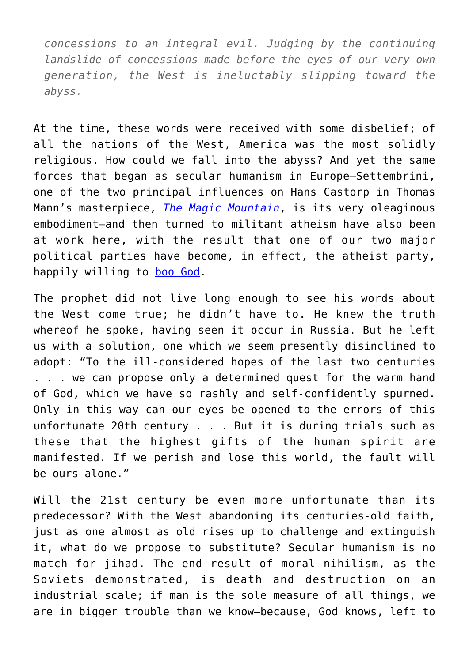*concessions to an integral evil. Judging by the continuing landslide of concessions made before the eyes of our very own generation, the West is ineluctably slipping toward the abyss.*

At the time, these words were received with some disbelief; of all the nations of the West, America was the most solidly religious. How could we fall into the abyss? And yet the same forces that began as secular humanism in Europe—Settembrini, one of the two principal influences on Hans Castorp in Thomas Mann's masterpiece, *[The Magic Mountain](https://www.amazon.com/Magic-Mountain-Thomas-Mann/dp/0679772871)*, is its very oleaginous embodiment—and then turned to militant atheism have also been at work here, with the result that one of our two major political parties have become, in effect, the atheist party, happily willing to [boo God.](https://www.youtube.com/watch?v=eUJE9YfsbNQ)

The prophet did not live long enough to see his words about the West come true; he didn't have to. He knew the truth whereof he spoke, having seen it occur in Russia. But he left us with a solution, one which we seem presently disinclined to adopt: "To the ill-considered hopes of the last two centuries . . . we can propose only a determined quest for the warm hand of God, which we have so rashly and self-confidently spurned. Only in this way can our eyes be opened to the errors of this unfortunate 20th century . . . But it is during trials such as these that the highest gifts of the human spirit are manifested. If we perish and lose this world, the fault will be ours alone."

Will the 21st century be even more unfortunate than its predecessor? With the West abandoning its centuries-old faith, just as one almost as old rises up to challenge and extinguish it, what do we propose to substitute? Secular humanism is no match for jihad. The end result of moral nihilism, as the Soviets demonstrated, is death and destruction on an industrial scale; if man is the sole measure of all things, we are in bigger trouble than we know—because, God knows, left to